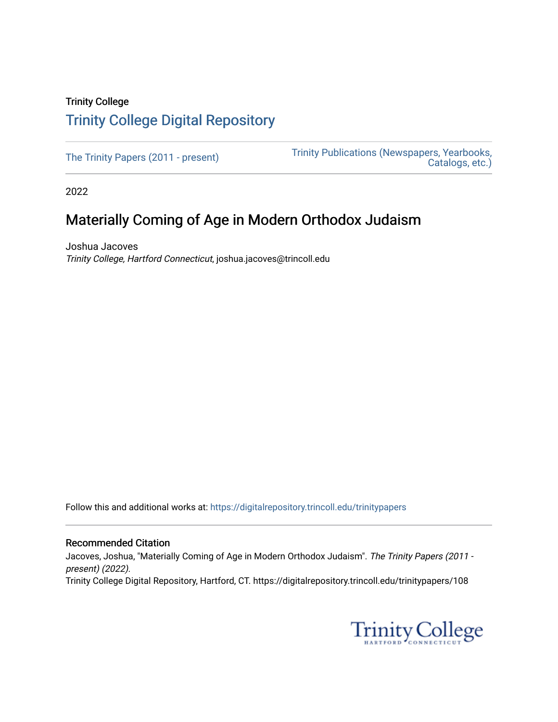## Trinity College [Trinity College Digital Repository](https://digitalrepository.trincoll.edu/)

[The Trinity Papers \(2011 - present\)](https://digitalrepository.trincoll.edu/trinitypapers) Trinity Publications (Newspapers, Yearbooks, [Catalogs, etc.\)](https://digitalrepository.trincoll.edu/publications) 

2022

# Materially Coming of Age in Modern Orthodox Judaism

Joshua Jacoves Trinity College, Hartford Connecticut, joshua.jacoves@trincoll.edu

Follow this and additional works at: [https://digitalrepository.trincoll.edu/trinitypapers](https://digitalrepository.trincoll.edu/trinitypapers?utm_source=digitalrepository.trincoll.edu%2Ftrinitypapers%2F108&utm_medium=PDF&utm_campaign=PDFCoverPages)

#### Recommended Citation

Jacoves, Joshua, "Materially Coming of Age in Modern Orthodox Judaism". The Trinity Papers (2011 present) (2022). Trinity College Digital Repository, Hartford, CT. https://digitalrepository.trincoll.edu/trinitypapers/108

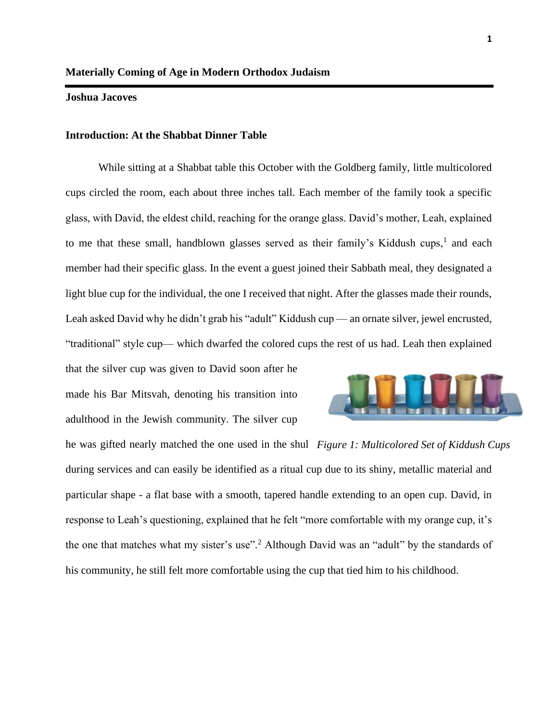### **Joshua Jacoves**

#### **Introduction: At the Shabbat Dinner Table**

While sitting at a Shabbat table this October with the Goldberg family, little multicolored cups circled the room, each about three inches tall. Each member of the family took a specific glass, with David, the eldest child, reaching for the orange glass. David's mother, Leah, explained to me that these small, handblown glasses served as their family's Kiddush cups, $<sup>1</sup>$  and each</sup> member had their specific glass. In the event a guest joined their Sabbath meal, they designated a light blue cup for the individual, the one I received that night. After the glasses made their rounds, Leah asked David why he didn't grab his "adult" Kiddush cup — an ornate silver, jewel encrusted, "traditional" style cup— which dwarfed the colored cups the rest of us had. Leah then explained

that the silver cup was given to David soon after he made his Bar Mitsvah, denoting his transition into adulthood in the Jewish community. The silver cup



he was gifted nearly matched the one used in the shul *Figure 1: Multicolored Set of Kiddush Cups*during services and can easily be identified as a ritual cup due to its shiny, metallic material and particular shape - a flat base with a smooth, tapered handle extending to an open cup. David, in response to Leah's questioning, explained that he felt "more comfortable with my orange cup, it's the one that matches what my sister's use".<sup>2</sup> Although David was an "adult" by the standards of his community, he still felt more comfortable using the cup that tied him to his childhood.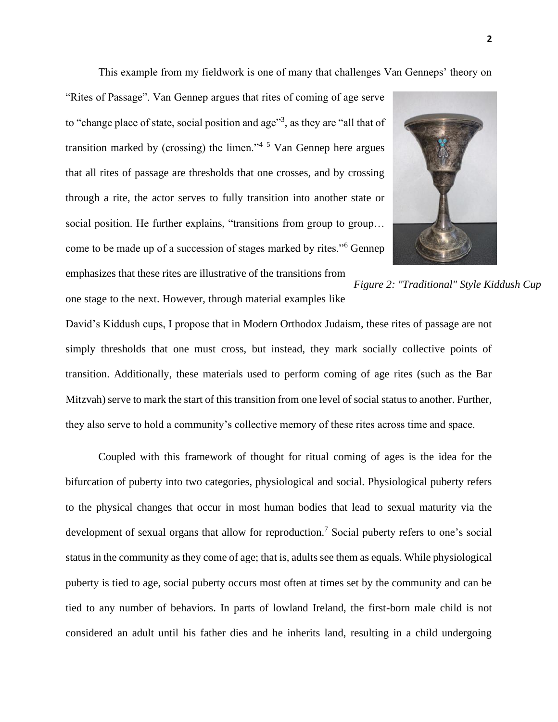This example from my fieldwork is one of many that challenges Van Genneps' theory on

"Rites of Passage". Van Gennep argues that rites of coming of age serve to "change place of state, social position and age"<sup>3</sup>, as they are "all that of transition marked by (crossing) the limen."<sup> $4\frac{5}{1}$ </sup> Van Gennep here argues that all rites of passage are thresholds that one crosses, and by crossing through a rite, the actor serves to fully transition into another state or social position. He further explains, "transitions from group to group… come to be made up of a succession of stages marked by rites."<sup>6</sup> Gennep emphasizes that these rites are illustrative of the transitions from



*Figure 2: "Traditional" Style Kiddush Cup*

one stage to the next. However, through material examples like

David's Kiddush cups, I propose that in Modern Orthodox Judaism, these rites of passage are not simply thresholds that one must cross, but instead, they mark socially collective points of transition. Additionally, these materials used to perform coming of age rites (such as the Bar Mitzvah) serve to mark the start of this transition from one level of social status to another. Further, they also serve to hold a community's collective memory of these rites across time and space.

Coupled with this framework of thought for ritual coming of ages is the idea for the bifurcation of puberty into two categories, physiological and social. Physiological puberty refers to the physical changes that occur in most human bodies that lead to sexual maturity via the development of sexual organs that allow for reproduction.<sup>7</sup> Social puberty refers to one's social status in the community as they come of age; that is, adults see them as equals. While physiological puberty is tied to age, social puberty occurs most often at times set by the community and can be tied to any number of behaviors. In parts of lowland Ireland, the first-born male child is not considered an adult until his father dies and he inherits land, resulting in a child undergoing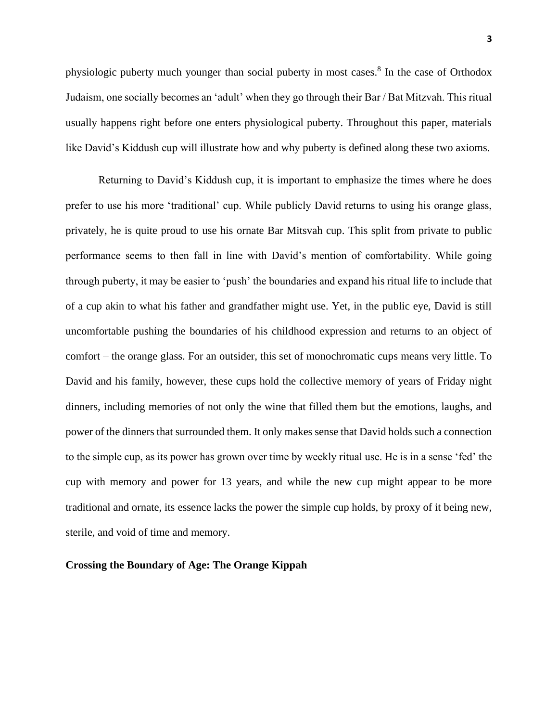physiologic puberty much younger than social puberty in most cases.<sup>8</sup> In the case of Orthodox Judaism, one socially becomes an 'adult' when they go through their Bar / Bat Mitzvah. This ritual usually happens right before one enters physiological puberty. Throughout this paper, materials like David's Kiddush cup will illustrate how and why puberty is defined along these two axioms.

Returning to David's Kiddush cup, it is important to emphasize the times where he does prefer to use his more 'traditional' cup. While publicly David returns to using his orange glass, privately, he is quite proud to use his ornate Bar Mitsvah cup. This split from private to public performance seems to then fall in line with David's mention of comfortability. While going through puberty, it may be easier to 'push' the boundaries and expand his ritual life to include that of a cup akin to what his father and grandfather might use. Yet, in the public eye, David is still uncomfortable pushing the boundaries of his childhood expression and returns to an object of comfort – the orange glass. For an outsider, this set of monochromatic cups means very little. To David and his family, however, these cups hold the collective memory of years of Friday night dinners, including memories of not only the wine that filled them but the emotions, laughs, and power of the dinners that surrounded them. It only makes sense that David holds such a connection to the simple cup, as its power has grown over time by weekly ritual use. He is in a sense 'fed' the cup with memory and power for 13 years, and while the new cup might appear to be more traditional and ornate, its essence lacks the power the simple cup holds, by proxy of it being new, sterile, and void of time and memory.

#### **Crossing the Boundary of Age: The Orange Kippah**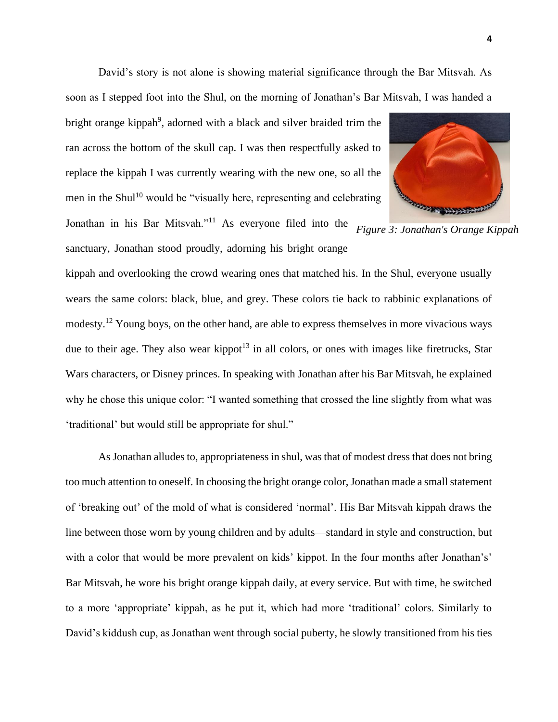David's story is not alone is showing material significance through the Bar Mitsvah. As soon as I stepped foot into the Shul, on the morning of Jonathan's Bar Mitsvah, I was handed a

bright orange kippah<sup>9</sup>, adorned with a black and silver braided trim the ran across the bottom of the skull cap. I was then respectfully asked to replace the kippah I was currently wearing with the new one, so all the men in the Shul<sup>10</sup> would be "visually here, representing and celebrating



Jonathan in his Bar Mitsvah."<sup>11</sup> As everyone filed into the sanctuary, Jonathan stood proudly, adorning his bright orange *Figure 3: Jonathan's Orange Kippah*

kippah and overlooking the crowd wearing ones that matched his. In the Shul, everyone usually wears the same colors: black, blue, and grey. These colors tie back to rabbinic explanations of modesty.<sup>12</sup> Young boys, on the other hand, are able to express themselves in more vivacious ways due to their age. They also wear kippot<sup>13</sup> in all colors, or ones with images like firetrucks, Star Wars characters, or Disney princes. In speaking with Jonathan after his Bar Mitsvah, he explained why he chose this unique color: "I wanted something that crossed the line slightly from what was 'traditional' but would still be appropriate for shul."

As Jonathan alludes to, appropriateness in shul, was that of modest dress that does not bring too much attention to oneself. In choosing the bright orange color, Jonathan made a small statement of 'breaking out' of the mold of what is considered 'normal'. His Bar Mitsvah kippah draws the line between those worn by young children and by adults—standard in style and construction, but with a color that would be more prevalent on kids' kippot. In the four months after Jonathan's' Bar Mitsvah, he wore his bright orange kippah daily, at every service. But with time, he switched to a more 'appropriate' kippah, as he put it, which had more 'traditional' colors. Similarly to David's kiddush cup, as Jonathan went through social puberty, he slowly transitioned from his ties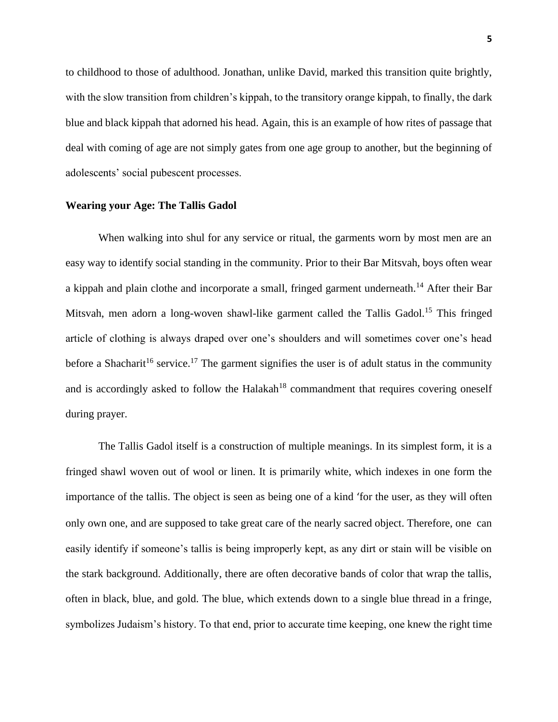to childhood to those of adulthood. Jonathan, unlike David, marked this transition quite brightly, with the slow transition from children's kippah, to the transitory orange kippah, to finally, the dark blue and black kippah that adorned his head. Again, this is an example of how rites of passage that deal with coming of age are not simply gates from one age group to another, but the beginning of adolescents' social pubescent processes.

## **Wearing your Age: The Tallis Gadol**

When walking into shul for any service or ritual, the garments worn by most men are an easy way to identify social standing in the community. Prior to their Bar Mitsvah, boys often wear a kippah and plain clothe and incorporate a small, fringed garment underneath.<sup>14</sup> After their Bar Mitsvah, men adorn a long-woven shawl-like garment called the Tallis Gadol.<sup>15</sup> This fringed article of clothing is always draped over one's shoulders and will sometimes cover one's head before a Shacharit<sup>16</sup> service.<sup>17</sup> The garment signifies the user is of adult status in the community and is accordingly asked to follow the Halakah<sup>18</sup> commandment that requires covering oneself during prayer.

The Tallis Gadol itself is a construction of multiple meanings. In its simplest form, it is a fringed shawl woven out of wool or linen. It is primarily white, which indexes in one form the importance of the tallis. The object is seen as being one of a kind 'for the user, as they will often only own one, and are supposed to take great care of the nearly sacred object. Therefore, one can easily identify if someone's tallis is being improperly kept, as any dirt or stain will be visible on the stark background. Additionally, there are often decorative bands of color that wrap the tallis, often in black, blue, and gold. The blue, which extends down to a single blue thread in a fringe, symbolizes Judaism's history. To that end, prior to accurate time keeping, one knew the right time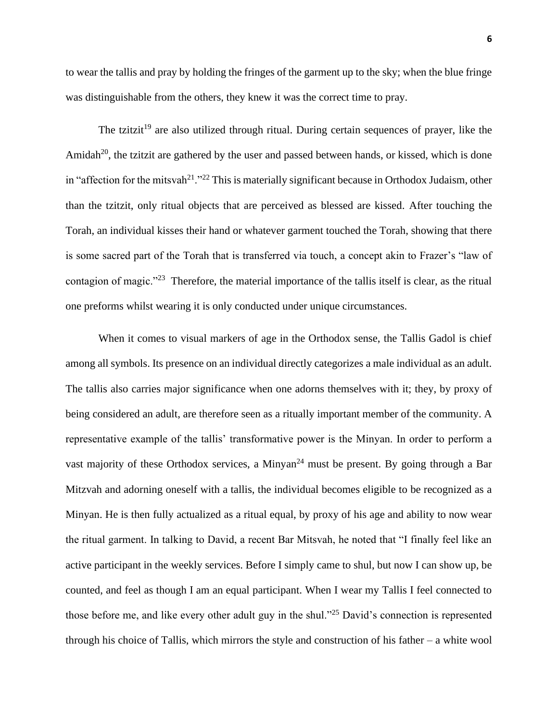to wear the tallis and pray by holding the fringes of the garment up to the sky; when the blue fringe was distinguishable from the others, they knew it was the correct time to pray.

The tzitzit<sup>19</sup> are also utilized through ritual. During certain sequences of prayer, like the Amidah<sup>20</sup>, the tzitzit are gathered by the user and passed between hands, or kissed, which is done in "affection for the mitsvah<sup>21</sup>."<sup>22</sup> This is materially significant because in Orthodox Judaism, other than the tzitzit, only ritual objects that are perceived as blessed are kissed. After touching the Torah, an individual kisses their hand or whatever garment touched the Torah, showing that there is some sacred part of the Torah that is transferred via touch, a concept akin to Frazer's "law of contagion of magic."<sup>23</sup> Therefore, the material importance of the tallis itself is clear, as the ritual one preforms whilst wearing it is only conducted under unique circumstances.

When it comes to visual markers of age in the Orthodox sense, the Tallis Gadol is chief among all symbols. Its presence on an individual directly categorizes a male individual as an adult. The tallis also carries major significance when one adorns themselves with it; they, by proxy of being considered an adult, are therefore seen as a ritually important member of the community. A representative example of the tallis' transformative power is the Minyan. In order to perform a vast majority of these Orthodox services, a Minyan<sup>24</sup> must be present. By going through a Bar Mitzvah and adorning oneself with a tallis, the individual becomes eligible to be recognized as a Minyan. He is then fully actualized as a ritual equal, by proxy of his age and ability to now wear the ritual garment. In talking to David, a recent Bar Mitsvah, he noted that "I finally feel like an active participant in the weekly services. Before I simply came to shul, but now I can show up, be counted, and feel as though I am an equal participant. When I wear my Tallis I feel connected to those before me, and like every other adult guy in the shul."<sup>25</sup> David's connection is represented through his choice of Tallis, which mirrors the style and construction of his father – a white wool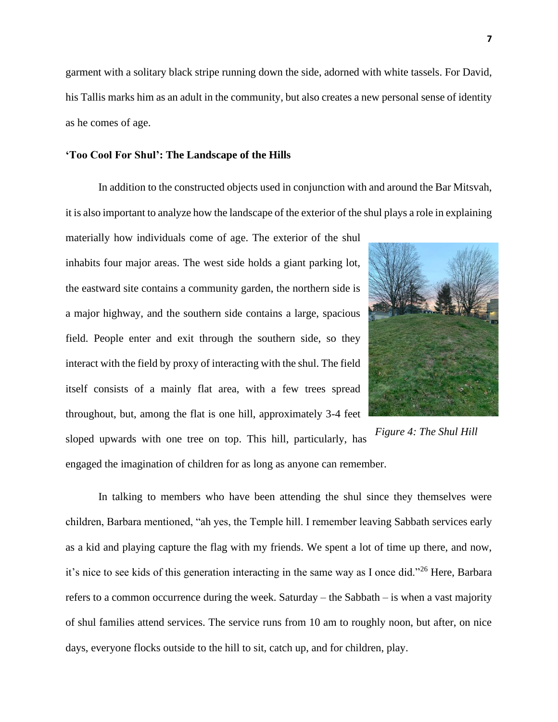garment with a solitary black stripe running down the side, adorned with white tassels. For David, his Tallis marks him as an adult in the community, but also creates a new personal sense of identity as he comes of age.

#### **'Too Cool For Shul': The Landscape of the Hills**

In addition to the constructed objects used in conjunction with and around the Bar Mitsvah, it is also important to analyze how the landscape of the exterior of the shul plays a role in explaining

materially how individuals come of age. The exterior of the shul inhabits four major areas. The west side holds a giant parking lot, the eastward site contains a community garden, the northern side is a major highway, and the southern side contains a large, spacious field. People enter and exit through the southern side, so they interact with the field by proxy of interacting with the shul. The field itself consists of a mainly flat area, with a few trees spread throughout, but, among the flat is one hill, approximately 3-4 feet sloped upwards with one tree on top. This hill, particularly, has engaged the imagination of children for as long as anyone can remember.



*Figure 4: The Shul Hill*

In talking to members who have been attending the shul since they themselves were children, Barbara mentioned, "ah yes, the Temple hill. I remember leaving Sabbath services early as a kid and playing capture the flag with my friends. We spent a lot of time up there, and now, it's nice to see kids of this generation interacting in the same way as I once did."<sup>26</sup> Here, Barbara refers to a common occurrence during the week. Saturday – the Sabbath – is when a vast majority of shul families attend services. The service runs from 10 am to roughly noon, but after, on nice days, everyone flocks outside to the hill to sit, catch up, and for children, play.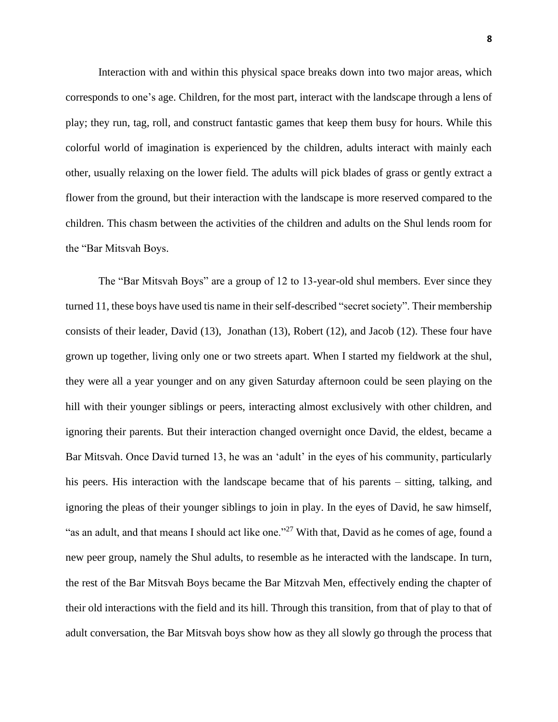Interaction with and within this physical space breaks down into two major areas, which corresponds to one's age. Children, for the most part, interact with the landscape through a lens of play; they run, tag, roll, and construct fantastic games that keep them busy for hours. While this colorful world of imagination is experienced by the children, adults interact with mainly each other, usually relaxing on the lower field. The adults will pick blades of grass or gently extract a flower from the ground, but their interaction with the landscape is more reserved compared to the children. This chasm between the activities of the children and adults on the Shul lends room for the "Bar Mitsvah Boys.

The "Bar Mitsvah Boys" are a group of 12 to 13-year-old shul members. Ever since they turned 11, these boys have used tis name in their self-described "secret society". Their membership consists of their leader, David (13), Jonathan (13), Robert (12), and Jacob (12). These four have grown up together, living only one or two streets apart. When I started my fieldwork at the shul, they were all a year younger and on any given Saturday afternoon could be seen playing on the hill with their younger siblings or peers, interacting almost exclusively with other children, and ignoring their parents. But their interaction changed overnight once David, the eldest, became a Bar Mitsvah. Once David turned 13, he was an 'adult' in the eyes of his community, particularly his peers. His interaction with the landscape became that of his parents – sitting, talking, and ignoring the pleas of their younger siblings to join in play. In the eyes of David, he saw himself, "as an adult, and that means I should act like one."<sup>27</sup> With that, David as he comes of age, found a new peer group, namely the Shul adults, to resemble as he interacted with the landscape. In turn, the rest of the Bar Mitsvah Boys became the Bar Mitzvah Men, effectively ending the chapter of their old interactions with the field and its hill. Through this transition, from that of play to that of adult conversation, the Bar Mitsvah boys show how as they all slowly go through the process that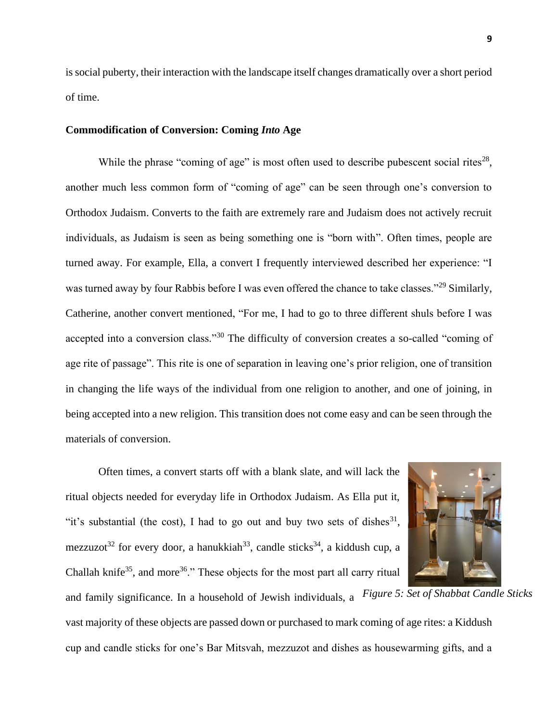is social puberty, their interaction with the landscape itself changes dramatically over a short period of time.

## **Commodification of Conversion: Coming** *Into* **Age**

While the phrase "coming of age" is most often used to describe pubescent social rites<sup>28</sup>, another much less common form of "coming of age" can be seen through one's conversion to Orthodox Judaism. Converts to the faith are extremely rare and Judaism does not actively recruit individuals, as Judaism is seen as being something one is "born with". Often times, people are turned away. For example, Ella, a convert I frequently interviewed described her experience: "I was turned away by four Rabbis before I was even offered the chance to take classes."<sup>29</sup> Similarly, Catherine, another convert mentioned, "For me, I had to go to three different shuls before I was accepted into a conversion class."<sup>30</sup> The difficulty of conversion creates a so-called "coming of age rite of passage". This rite is one of separation in leaving one's prior religion, one of transition in changing the life ways of the individual from one religion to another, and one of joining, in being accepted into a new religion. This transition does not come easy and can be seen through the materials of conversion.

Often times, a convert starts off with a blank slate, and will lack the ritual objects needed for everyday life in Orthodox Judaism. As Ella put it, "it's substantial (the cost), I had to go out and buy two sets of dishes  $31$ , mezzuzot<sup>32</sup> for every door, a hanukkiah<sup>33</sup>, candle sticks<sup>34</sup>, a kiddush cup, a Challah knife<sup>35</sup>, and more<sup>36</sup>." These objects for the most part all carry ritual



vast majority of these objects are passed down or purchased to mark coming of age rites: a Kiddush cup and candle sticks for one's Bar Mitsvah, mezzuzot and dishes as housewarming gifts, and a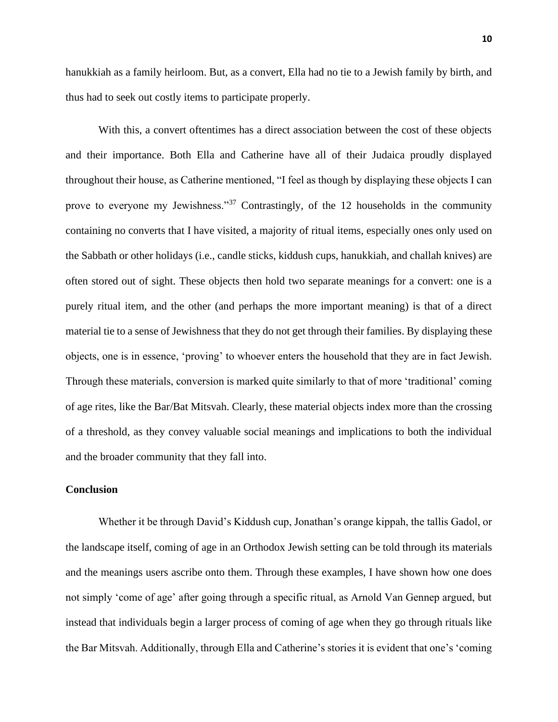hanukkiah as a family heirloom. But, as a convert, Ella had no tie to a Jewish family by birth, and thus had to seek out costly items to participate properly.

With this, a convert oftentimes has a direct association between the cost of these objects and their importance. Both Ella and Catherine have all of their Judaica proudly displayed throughout their house, as Catherine mentioned, "I feel as though by displaying these objects I can prove to everyone my Jewishness."<sup>37</sup> Contrastingly, of the 12 households in the community containing no converts that I have visited, a majority of ritual items, especially ones only used on the Sabbath or other holidays (i.e., candle sticks, kiddush cups, hanukkiah, and challah knives) are often stored out of sight. These objects then hold two separate meanings for a convert: one is a purely ritual item, and the other (and perhaps the more important meaning) is that of a direct material tie to a sense of Jewishness that they do not get through their families. By displaying these objects, one is in essence, 'proving' to whoever enters the household that they are in fact Jewish. Through these materials, conversion is marked quite similarly to that of more 'traditional' coming of age rites, like the Bar/Bat Mitsvah. Clearly, these material objects index more than the crossing of a threshold, as they convey valuable social meanings and implications to both the individual and the broader community that they fall into.

## **Conclusion**

Whether it be through David's Kiddush cup, Jonathan's orange kippah, the tallis Gadol, or the landscape itself, coming of age in an Orthodox Jewish setting can be told through its materials and the meanings users ascribe onto them. Through these examples, I have shown how one does not simply 'come of age' after going through a specific ritual, as Arnold Van Gennep argued, but instead that individuals begin a larger process of coming of age when they go through rituals like the Bar Mitsvah. Additionally, through Ella and Catherine's stories it is evident that one's 'coming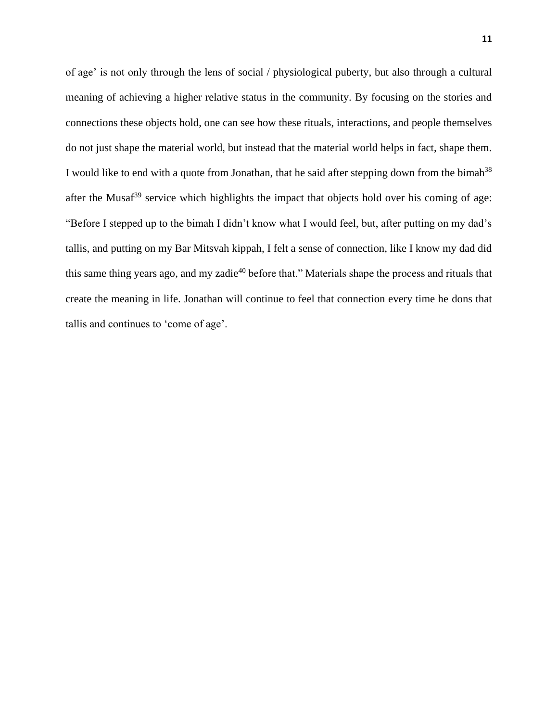of age' is not only through the lens of social / physiological puberty, but also through a cultural meaning of achieving a higher relative status in the community. By focusing on the stories and connections these objects hold, one can see how these rituals, interactions, and people themselves do not just shape the material world, but instead that the material world helps in fact, shape them. I would like to end with a quote from Jonathan, that he said after stepping down from the bimah<sup>38</sup> after the Musaf<sup>39</sup> service which highlights the impact that objects hold over his coming of age: "Before I stepped up to the bimah I didn't know what I would feel, but, after putting on my dad's tallis, and putting on my Bar Mitsvah kippah, I felt a sense of connection, like I know my dad did this same thing years ago, and my zadie<sup>40</sup> before that." Materials shape the process and rituals that create the meaning in life. Jonathan will continue to feel that connection every time he dons that tallis and continues to 'come of age'.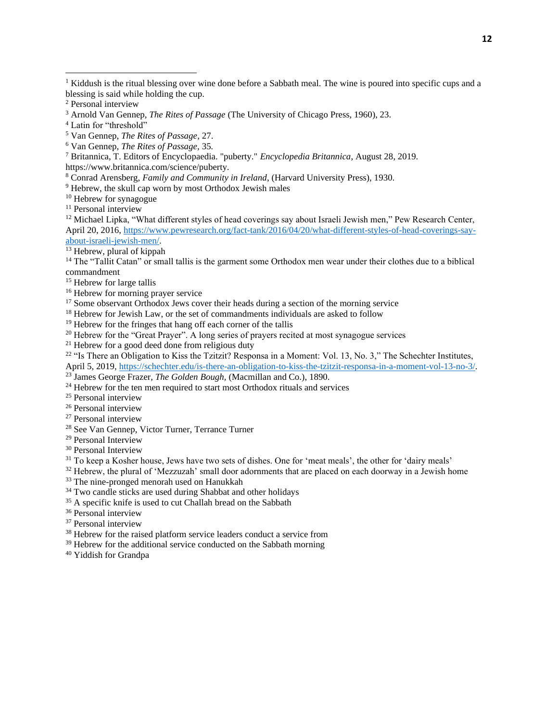- <sup>3</sup> Arnold Van Gennep, *The Rites of Passage* (The University of Chicago Press, 1960), 23.
- <sup>4</sup> Latin for "threshold"
- <sup>5</sup> Van Gennep, *The Rites of Passage*, 27.
- <sup>6</sup> Van Gennep, *The Rites of Passage,* 35*.*
- <sup>7</sup> Britannica, T. Editors of Encyclopaedia. "puberty." *Encyclopedia Britannica*, August 28, 2019. https://www.britannica.com/science/puberty.
- <sup>8</sup> Conrad Arensberg, *Family and Community in Ireland*, (Harvard University Press), 1930.
- <sup>9</sup> Hebrew, the skull cap worn by most Orthodox Jewish males
- <sup>10</sup> Hebrew for synagogue
- <sup>11</sup> Personal interview

<sup>12</sup> Michael Lipka, "What different styles of head coverings say about Israeli Jewish men," Pew Research Center, April 20, 2016[, https://www.pewresearch.org/fact-tank/2016/04/20/what-different-styles-of-head-coverings-say](https://www.pewresearch.org/fact-tank/2016/04/20/what-different-styles-of-head-coverings-say-about-israeli-jewish-men/)[about-israeli-jewish-men/.](https://www.pewresearch.org/fact-tank/2016/04/20/what-different-styles-of-head-coverings-say-about-israeli-jewish-men/)

<sup>13</sup> Hebrew, plural of kippah

<sup>14</sup> The "Tallit Catan" or small tallis is the garment some Orthodox men wear under their clothes due to a biblical commandment

- <sup>15</sup> Hebrew for large tallis
- <sup>16</sup> Hebrew for morning prayer service
- <sup>17</sup> Some observant Orthodox Jews cover their heads during a section of the morning service
- <sup>18</sup> Hebrew for Jewish Law, or the set of commandments individuals are asked to follow
- <sup>19</sup> Hebrew for the fringes that hang off each corner of the tallis
- <sup>20</sup> Hebrew for the "Great Prayer". A long series of prayers recited at most synagogue services
- <sup>21</sup> Hebrew for a good deed done from religious duty

<sup>22</sup> "Is There an Obligation to Kiss the Tzitzit? Responsa in a Moment: Vol. 13, No. 3," The Schechter Institutes,

April 5, 2019[, https://schechter.edu/is-there-an-obligation-to-kiss-the-tzitzit-responsa-in-a-moment-vol-13-no-3/.](https://schechter.edu/is-there-an-obligation-to-kiss-the-tzitzit-responsa-in-a-moment-vol-13-no-3/)

- <sup>23</sup> James George Frazer, *The Golden Bough*, (Macmillan and Co.), 1890.
- <sup>24</sup> Hebrew for the ten men required to start most Orthodox rituals and services
- <sup>25</sup> Personal interview
- <sup>26</sup> Personal interview
- <sup>27</sup> Personal interview
- <sup>28</sup> See Van Gennep, Victor Turner, Terrance Turner
- <sup>29</sup> Personal Interview
- <sup>30</sup> Personal Interview
- <sup>31</sup> To keep a Kosher house, Jews have two sets of dishes. One for 'meat meals', the other for 'dairy meals'
- <sup>32</sup> Hebrew, the plural of 'Mezzuzah' small door adornments that are placed on each doorway in a Jewish home
- <sup>33</sup> The nine-pronged menorah used on Hanukkah
- <sup>34</sup> Two candle sticks are used during Shabbat and other holidays
- $35$  A specific knife is used to cut Challah bread on the Sabbath
- <sup>36</sup> Personal interview
- <sup>37</sup> Personal interview
- <sup>38</sup> Hebrew for the raised platform service leaders conduct a service from
- <sup>39</sup> Hebrew for the additional service conducted on the Sabbath morning
- <sup>40</sup> Yiddish for Grandpa

<sup>&</sup>lt;sup>1</sup> Kiddush is the ritual blessing over wine done before a Sabbath meal. The wine is poured into specific cups and a blessing is said while holding the cup.

<sup>2</sup> Personal interview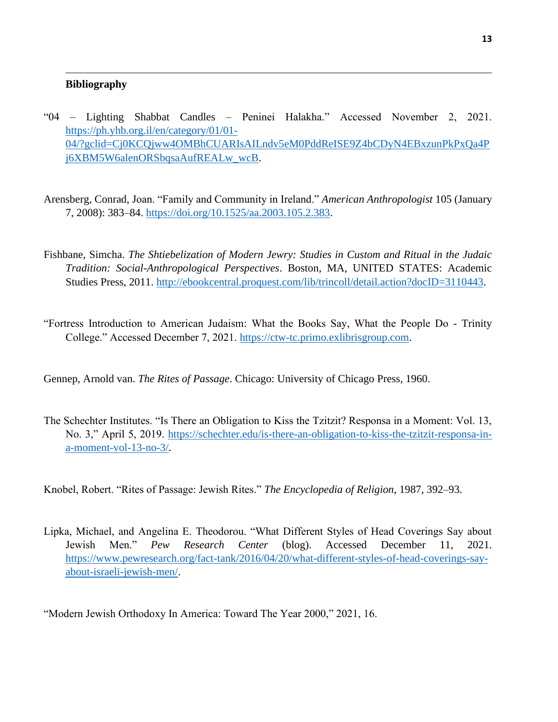## **Bibliography**

- "04 Lighting Shabbat Candles Peninei Halakha." Accessed November 2, 2021. [https://ph.yhb.org.il/en/category/01/01-](https://ph.yhb.org.il/en/category/01/01-04/?gclid=Cj0KCQjww4OMBhCUARIsAILndv5eM0PddReISE9Z4bCDyN4EBxzunPkPxQa4Pj6XBM5W6alenORSbqsaAufREALw_wcB) [04/?gclid=Cj0KCQjww4OMBhCUARIsAILndv5eM0PddReISE9Z4bCDyN4EBxzunPkPxQa4P](https://ph.yhb.org.il/en/category/01/01-04/?gclid=Cj0KCQjww4OMBhCUARIsAILndv5eM0PddReISE9Z4bCDyN4EBxzunPkPxQa4Pj6XBM5W6alenORSbqsaAufREALw_wcB) [j6XBM5W6alenORSbqsaAufREALw\\_wcB.](https://ph.yhb.org.il/en/category/01/01-04/?gclid=Cj0KCQjww4OMBhCUARIsAILndv5eM0PddReISE9Z4bCDyN4EBxzunPkPxQa4Pj6XBM5W6alenORSbqsaAufREALw_wcB)
- Arensberg, Conrad, Joan. "Family and Community in Ireland." *American Anthropologist* 105 (January 7, 2008): 383–84. [https://doi.org/10.1525/aa.2003.105.2.383.](https://doi.org/10.1525/aa.2003.105.2.383)
- Fishbane, Simcha. *The Shtiebelization of Modern Jewry: Studies in Custom and Ritual in the Judaic Tradition: Social-Anthropological Perspectives*. Boston, MA, UNITED STATES: Academic Studies Press, 2011. [http://ebookcentral.proquest.com/lib/trincoll/detail.action?docID=3110443.](http://ebookcentral.proquest.com/lib/trincoll/detail.action?docID=3110443)
- "Fortress Introduction to American Judaism: What the Books Say, What the People Do Trinity College." Accessed December 7, 2021. [https://ctw-tc.primo.exlibrisgroup.com.](https://ctw-tc.primo.exlibrisgroup.com/)
- Gennep, Arnold van. *The Rites of Passage*. Chicago: University of Chicago Press, 1960.
- The Schechter Institutes. "Is There an Obligation to Kiss the Tzitzit? Responsa in a Moment: Vol. 13, No. 3," April 5, 2019. [https://schechter.edu/is-there-an-obligation-to-kiss-the-tzitzit-responsa-in](https://schechter.edu/is-there-an-obligation-to-kiss-the-tzitzit-responsa-in-a-moment-vol-13-no-3/)[a-moment-vol-13-no-3/.](https://schechter.edu/is-there-an-obligation-to-kiss-the-tzitzit-responsa-in-a-moment-vol-13-no-3/)
- Knobel, Robert. "Rites of Passage: Jewish Rites." *The Encyclopedia of Religion*, 1987, 392–93.
- Lipka, Michael, and Angelina E. Theodorou. "What Different Styles of Head Coverings Say about Jewish Men." *Pew Research Center* (blog). Accessed December 11, 2021. [https://www.pewresearch.org/fact-tank/2016/04/20/what-different-styles-of-head-coverings-say](https://www.pewresearch.org/fact-tank/2016/04/20/what-different-styles-of-head-coverings-say-about-israeli-jewish-men/)[about-israeli-jewish-men/.](https://www.pewresearch.org/fact-tank/2016/04/20/what-different-styles-of-head-coverings-say-about-israeli-jewish-men/)

"Modern Jewish Orthodoxy In America: Toward The Year 2000," 2021, 16.